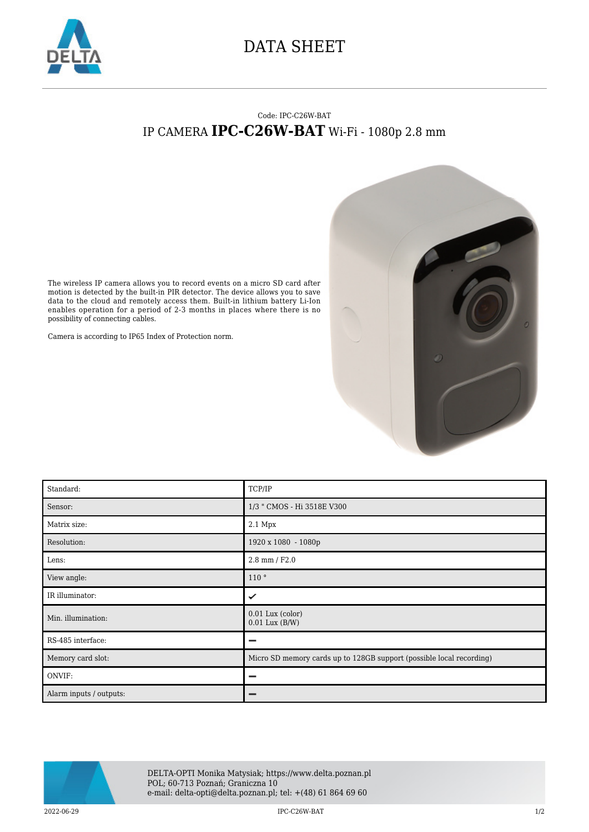

## DATA SHEET

## Code: IPC-C26W-BAT IP CAMERA **IPC-C26W-BAT** Wi-Fi - 1080p 2.8 mm



The wireless IP camera allows you to record events on a micro SD card after motion is detected by the built-in PIR detector. The device allows you to save data to the cloud and remotely access them. Built-in lithium battery Li-Ion enables operation for a period of 2-3 months in places where there is no possibility of connecting cables.

Camera is according to IP65 Index of Protection norm.

| Standard:               | TCP/IP                                                               |
|-------------------------|----------------------------------------------------------------------|
| Sensor:                 | 1/3 " CMOS - Hi 3518E V300                                           |
| Matrix size:            | 2.1 Mpx                                                              |
| Resolution:             | 1920 x 1080 - 1080p                                                  |
| Lens:                   | $2.8$ mm $/$ F2.0                                                    |
| View angle:             | 110°                                                                 |
| IR illuminator:         | ✓                                                                    |
| Min. illumination:      | $0.01$ Lux (color)<br>$0.01$ Lux $(B/W)$                             |
| RS-485 interface:       | -                                                                    |
| Memory card slot:       | Micro SD memory cards up to 128GB support (possible local recording) |
| ONVIF:                  | -                                                                    |
| Alarm inputs / outputs: |                                                                      |



DELTA-OPTI Monika Matysiak; https://www.delta.poznan.pl POL; 60-713 Poznań; Graniczna 10 e-mail: delta-opti@delta.poznan.pl; tel: +(48) 61 864 69 60

2022-06-29 IPC-C26W-BAT 1/2